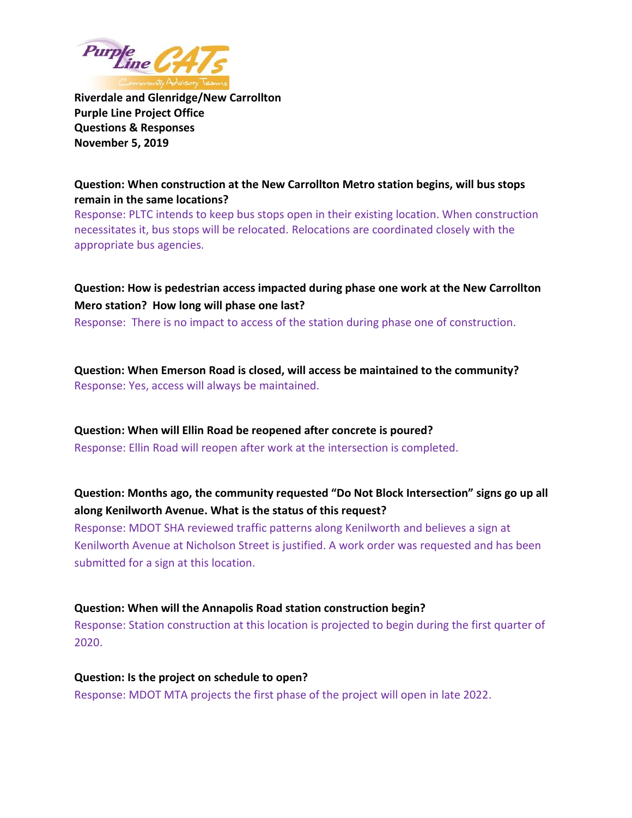

**Riverdale and Glenridge/New Carrollton Purple Line Project Office Questions & Responses November 5, 2019**

### **Question: When construction at the New Carrollton Metro station begins, will bus stops remain in the same locations?**

Response: PLTC intends to keep bus stops open in their existing location. When construction necessitates it, bus stops will be relocated. Relocations are coordinated closely with the appropriate bus agencies.

## **Question: How is pedestrian access impacted during phase one work at the New Carrollton Mero station? How long will phase one last?**

Response: There is no impact to access of the station during phase one of construction.

**Question: When Emerson Road is closed, will access be maintained to the community?** Response: Yes, access will always be maintained.

**Question: When will Ellin Road be reopened after concrete is poured?** Response: Ellin Road will reopen after work at the intersection is completed.

## **Question: Months ago, the community requested "Do Not Block Intersection" signs go up all along Kenilworth Avenue. What is the status of this request?**

Response: MDOT SHA reviewed traffic patterns along Kenilworth and believes a sign at Kenilworth Avenue at Nicholson Street is justified. A work order was requested and has been submitted for a sign at this location.

### **Question: When will the Annapolis Road station construction begin?**

Response: Station construction at this location is projected to begin during the first quarter of 2020.

### **Question: Is the project on schedule to open?**

Response: MDOT MTA projects the first phase of the project will open in late 2022.